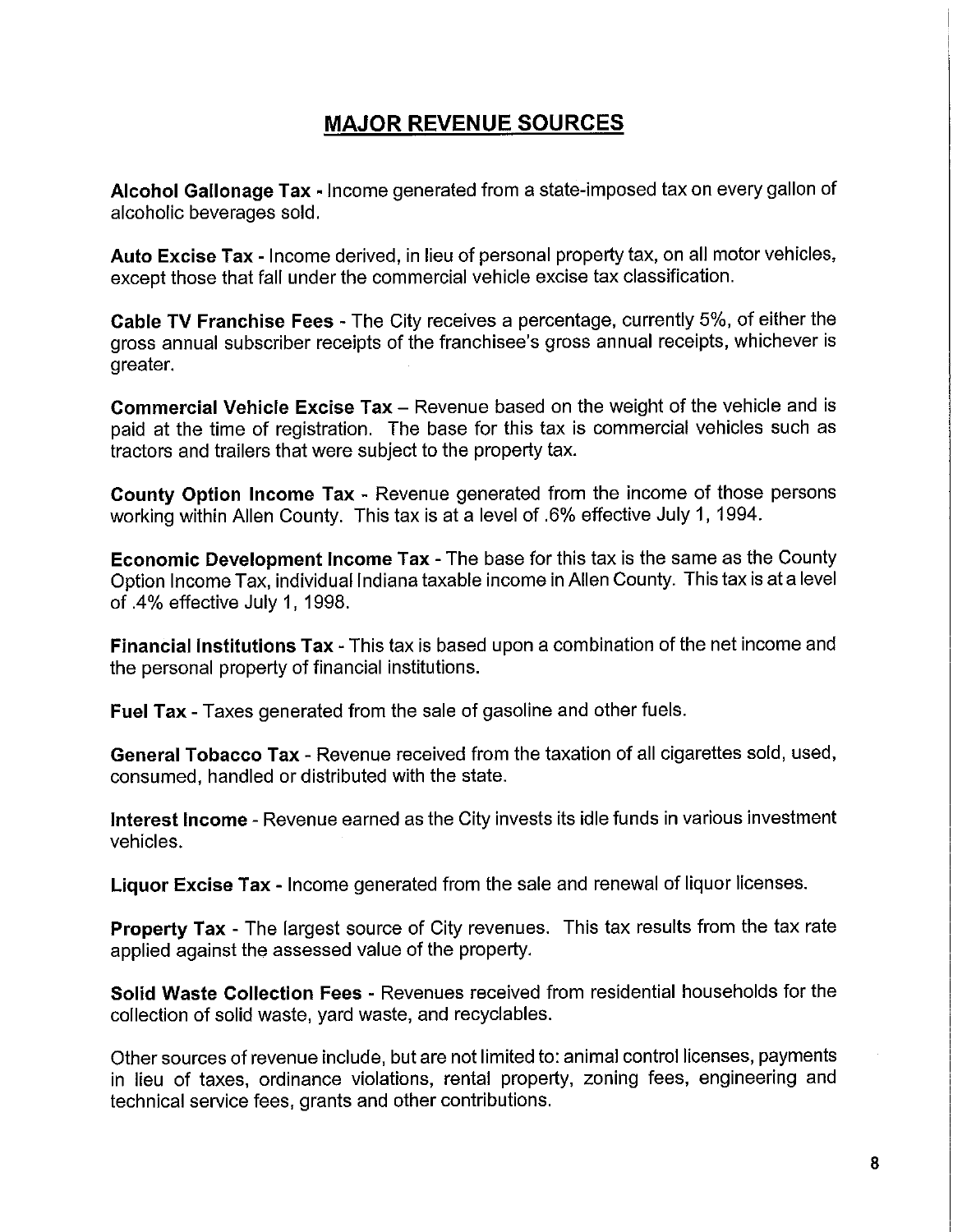# **MAJOR REVENUE SOURCES**

**Alcohol Gallonage Tax** - Income generated from a state-imposed tax on every gallon of alcoholic beverages sold.

**Auto Excise Tax** - Income derived, in lieu of personal property tax, on all motor vehicles, except those that fall under the commercial vehicle excise tax classification.

**Cable TV Franchise Fees** - The City receives a percentage, currently 5%, of either the gross annual subscriber receipts of the franchisee's gross annual receipts, whichever is greater.

**Commercial Vehicle Excise Tax** – Revenue based on the weight of the vehicle and is paid at the time of registration. The base for this tax is commercial vehicles such as tractors and trailers that were subject to the property tax.

**County Option Income Tax** - Revenue generated from the income of those persons working within Allen County. This tax is at a level of .6% effective July 1, 1994.

**Economic Development Income Tax** - The base for this tax is the same as the County Option Income Tax, individual Indiana taxable income in Allen County. This tax is at a level of .4% effective July 1, 1998.

**Financial Institutions Tax** - This tax is based upon a combination of the net income and the personal property of financial institutions.

**Fuel Tax** - Taxes generated from the sale of gasoline and other fuels.

**General Tobacco Tax** - Revenue received from the taxation of all cigarettes sold, used, consumed, handled or distributed with the state.

**Interest Income** - Revenue earned as the City invests its idle funds in various investment vehicles.

**Liquor Excise Tax** - Income generated from the sale and renewal of liquor licenses.

**Property Tax** - The largest source of City revenues. This tax results from the tax rate applied against the assessed value of the property.

**Solid Waste Collection Fees** - Revenues received from residential households for the collection of solid waste, yard waste, and recyclables.

Other sources of revenue include, but are not limited to: animal control licenses, payments in lieu of taxes, ordinance violations, rental property, zoning fees, engineering and technical service fees, grants and other contributions.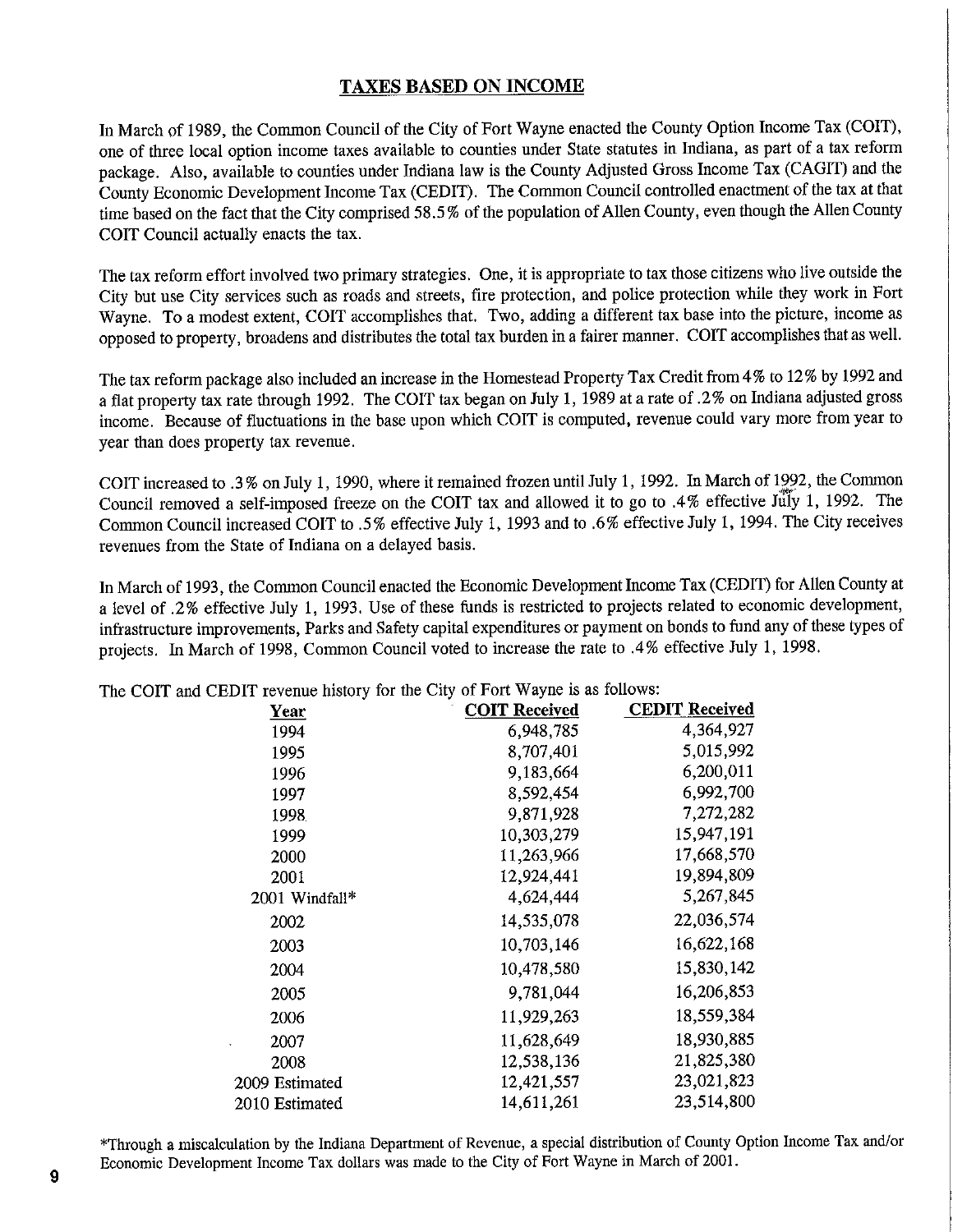### TAXES BASED ON INCOME

In March of 1989, the Common Council of the City of Fort Wayne enacted the County Option Income Tax (COIT), one of three local option income taxes available to counties under State statutes in Indiana, as part of a tax reform package. Also, available to counties under Indiana law is the County Adjusted Gross Income Tax (CAGIT) and the County Economic Development Income Tax (CEDIT). The Common Council controlled enactment of the tax at that time based on the fact that the City comprised 58.5 % of the population of Allen County, even though the Allen County COIT Council actually enacts the tax.

The tax reform effort involved two primary strategies. One, it is appropriate to tax those citizens who live outside the City but use City services such as roads and streets, fire protection, and police protection while they work in Fort Wayne. To a modest extent, COIT accomplishes that. Two, adding a different tax base into the picture, income as opposed to property, broadens and distributes the total tax burden in a fairer manner. COIT accomplishes that as well.

The tax reform package also included an increase in the Homestead Property Tax Credit from 4% to 12% by 1992 and a flat property tax rate through 1992. The COIT tax began on July 1, 1989 at a rate of .2% on Indiana adjusted gross income. Because of fluctuations in the base upon which COIT is computed, revenue could vary more from year to year than does property tax revenue.

COIT increased to .3 % on July 1, 1990, where it remained frozen until July 1, 1992. In March of 1992, the Common Council removed a self-imposed freeze on the COIT tax and allowed it to go to .4% effective July 1, 1992. The Common Council increased COIT to .5% effective July 1, 1993 and to *.6%* effective July 1, 1994. The City receives revenues from the State of Indiana on a delayed basis.

In March of 1993, the Common Council enacted the Economic Development Income Tax (CEDIT) for Allen County at a level of *.2%* effective July 1, 1993. Use of these funds is restricted to projects related to economic development, infrastructure improvements, Parks and Safety capital expenditures or payment on bonds to fund any of these types of projects. In March of 1998, Common Council voted to increase the rate to .4% effective July 1, 1998.

|                | <b>COIT Received</b> | <b>CEDIT Received</b> |
|----------------|----------------------|-----------------------|
| <b>Year</b>    |                      |                       |
| 1994           | 6,948,785            | 4,364,927             |
| 1995           | 8,707,401            | 5,015,992             |
| 1996           | 9,183,664            | 6,200,011             |
| 1997           | 8,592,454            | 6,992,700             |
| 1998           | 9,871,928            | 7,272,282             |
| 1999           | 10,303,279           | 15,947,191            |
| 2000           | 11,263,966           | 17,668,570            |
| 2001           | 12,924,441           | 19,894,809            |
| 2001 Windfall* | 4,624,444            | 5,267,845             |
| 2002           | 14,535,078           | 22,036,574            |
| 2003           | 10,703,146           | 16,622,168            |
| 2004           | 10,478,580           | 15,830,142            |
| 2005           | 9,781,044            | 16,206,853            |
| 2006           | 11,929,263           | 18,559,384            |
| 2007           | 11,628,649           | 18,930,885            |
| 2008           | 12,538,136           | 21,825,380            |
| 2009 Estimated | 12,421,557           | 23,021,823            |
| 2010 Estimated | 14,611,261           | 23,514,800            |

The COIT and CEDIT revenue history for the City of Fort Wayne is as follows:

Through a miscalculation by the Indiana Department of Revenue, a special distribution of County Option Income Tax and/or Economic Development Income Tax dollars was made to the City of Fort Wayne in March of 2001.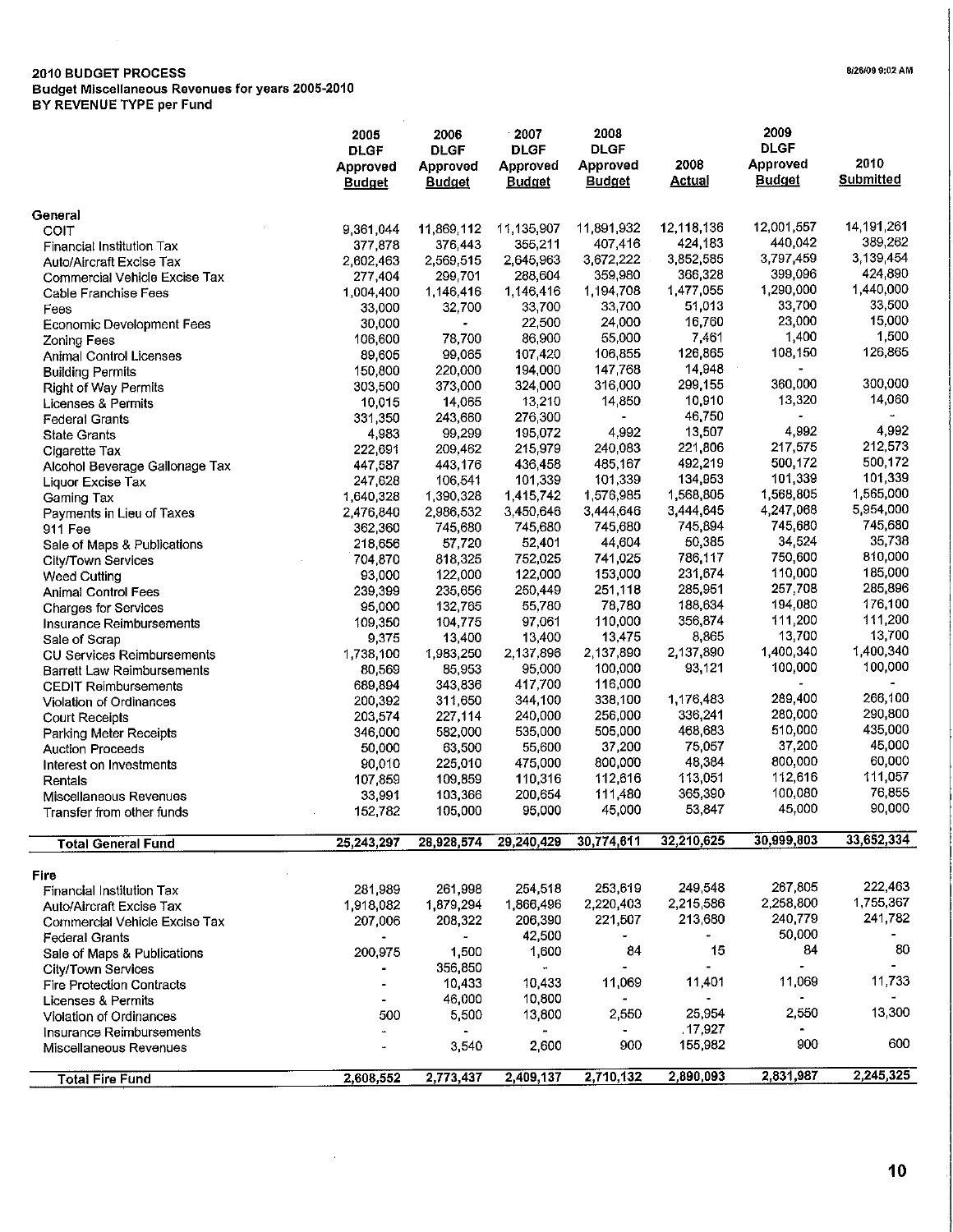## **2010 BUDGET PROCESS**

 $\sim$ 

**Budget Miscellaneous Revenues for years 2005-2010**

**BY REVENUE TYPE per Fund**

|                                      | 2005<br><b>DLGF</b><br>Approved<br><b>Budget</b> | 2006<br><b>DLGF</b><br>Approved<br><b>Budget</b> | 2007<br><b>DLGF</b><br>Approved<br><b>Budget</b> | 2008<br><b>DLGF</b><br>Approved<br><u>Budget</u> | 2008<br><b>Actual</b>    | 2009<br><b>DLGF</b><br>Approved<br><b>Budget</b> | 2010<br><b>Submitted</b> |
|--------------------------------------|--------------------------------------------------|--------------------------------------------------|--------------------------------------------------|--------------------------------------------------|--------------------------|--------------------------------------------------|--------------------------|
| General                              |                                                  |                                                  |                                                  |                                                  |                          |                                                  |                          |
| COIT                                 | 9.361,044                                        | 11,869,112                                       | 11,135,907                                       | 11,891,932                                       | 12,118,136               | 12,001,557                                       | 14,191,261               |
| Financial Institution Tax            | 377,878                                          | 376,443                                          | 355,211                                          | 407,416                                          | 424,183                  | 440,042                                          | 389.262                  |
| <b>Auto/Aircraft Excise Tax</b>      | 2 602,463                                        | 2,569,515                                        | 2,645,963                                        | 3,672,222                                        | 3,852,585                | 3,797,459                                        | 3,139,454                |
| Commercial Vehicle Excise Tax        | 277,404                                          | 299,701                                          | 288,604                                          | 359,980                                          | 366 328                  | 399,096                                          | 424 890                  |
| Cable Franchise Fees                 | 1,004,400                                        | 1,146,416                                        | 1,146,416                                        | 1,194,708                                        | 1,477,055                | 1,290,000                                        | 1,440,000                |
| Fees                                 | 33,000                                           | 32,700                                           | 33,700                                           | 33,700                                           | 51,013                   | 33,700                                           | 33,500                   |
| <b>Economic Development Fees</b>     | 30,000                                           | ۰                                                | 22,500                                           | 24,000                                           | 16,760                   | 23,000                                           | 15,000<br>1,500          |
| Zoning Fees                          | 106,600                                          | 78,700                                           | 86,900                                           | 55,000                                           | 7,461                    | 1,400                                            | 126,865                  |
| Animal Control Licenses              | 89,605                                           | 99,065                                           | 107,420                                          | 106,855                                          | 126,865                  | 108,150                                          |                          |
| <b>Building Permits</b>              | 150,800                                          | 220,000                                          | 194,000                                          | 147 768                                          | 14.948                   | 360,000                                          | 300,000                  |
| Right of Way Permits                 | 303,500                                          | 373,000                                          | 324,000                                          | 316.000                                          | 299.155<br>10,910        | 13,320                                           | 14,060                   |
| Licenses & Permits                   | 10,015                                           | 14,065                                           | 13,210                                           | 14 850<br>$\blacksquare$                         | 46,750                   | $\blacksquare$                                   |                          |
| <b>Federal Grants</b>                | 331,350                                          | 243,660                                          | 276,300<br>195,072                               | 4,992                                            | 13,507                   | 4,992                                            | 4,992                    |
| <b>State Grants</b>                  | 4,983                                            | 99,299<br>209,462                                | 215,979                                          | 240,083                                          | 221,806                  | 217,575                                          | 212,573                  |
| Cigarette Tax                        | 222,691<br>447,587                               | 443,176                                          | 436,458                                          | 485,167                                          | 492,219                  | 500,172                                          | 500,172                  |
| Alcohol Beverage Gallonage Tax       | 247,628                                          | 106,541                                          | 101,339                                          | 101,339                                          | 134,953                  | 101,339                                          | 101.339                  |
| Liquor Excise Tax                    | 1,640,328                                        | 1,390,328                                        | 1,415,742                                        | 1,576,985                                        | 1,568,805                | 1,568,805                                        | 1,565,000                |
| Gaming Tax                           | 2,476,840                                        | 2.986,532                                        | 3,450,646                                        | 3,444,646                                        | 3,444,645                | 4,247,068                                        | 5,954,000                |
| Payments in Lieu of Taxes<br>911 Fee | 362,360                                          | 745,680                                          | 745,680                                          | 745,680                                          | 745,894                  | 745,680                                          | 745,680                  |
| Sale of Maps & Publications          | 218,656                                          | 57,720                                           | 52,401                                           | 44,604                                           | 50,385                   | 34,524                                           | 35,738                   |
| City/Town Services                   | 704,870                                          | 818,325                                          | 752,025                                          | 741,025                                          | 786,117                  | 750,600                                          | 810,000                  |
| <b>Weed Cutting</b>                  | 93,000                                           | 122,000                                          | 122,000                                          | 153,000                                          | 231,674                  | 110,000                                          | 185,000                  |
| <b>Animal Control Fees</b>           | 239,399                                          | 235,656                                          | 250,449                                          | 251,118                                          | 285,951                  | 257,708                                          | 285,896                  |
| <b>Charges for Services</b>          | 95,000                                           | 132,765                                          | 55,780                                           | 78,780                                           | 188,634                  | 194,080                                          | 176,100                  |
| Insurance Reimbursements             | 109,350                                          | 104,775                                          | 97,061                                           | 110,000                                          | 356,874                  | 111,200                                          | 111,200                  |
| Sale of Scrap                        | 9,375                                            | 13,400                                           | 13,400                                           | 13.475                                           | 8,865                    | 13,700                                           | 13,700                   |
| <b>CU Services Reimbursements</b>    | 1,738,100                                        | 1,983,250                                        | 2,137,896                                        | 2,137,890                                        | 2,137,890                | 1,400,340                                        | 1,400,340                |
| Barrett Law Reimbursements           | 80,569                                           | 85,953                                           | 95,000                                           | 100,000                                          | 93,121                   | 100,000                                          | 100,000                  |
| <b>CEDIT Reimbursements</b>          | 689,894                                          | 343,836                                          | 417,700                                          | 116,000                                          |                          |                                                  |                          |
| Violation of Ordinances              | 200,392                                          | 311,650                                          | 344,100                                          | 338,100                                          | 1,176,483                | 289,400                                          | 266,100                  |
| <b>Court Receipts</b>                | 203,574                                          | 227,114                                          | 240,000                                          | 256,000                                          | 336,241                  | 280,000                                          | 290,800                  |
| Parking Meter Receipts               | 346,000                                          | 582,000                                          | 535,000                                          | 505,000                                          | 468,683                  | 510,000                                          | 435,000                  |
| <b>Auction Proceeds</b>              | 50,000                                           | 63,500                                           | 55,600                                           | 37,200                                           | 75,057                   | 37,200                                           | 45,000                   |
| Interest on Investments              | 90,010                                           | 225,010                                          | 475,000                                          | 800,000                                          | 48,384                   | 800,000                                          | 60,000                   |
| Rentals                              | 107,859                                          | 109,859                                          | 110,316                                          | 112,616                                          | 113.051                  | 112,616                                          | 111,057                  |
| Miscellaneous Revenues               | 33,991                                           | 103,366                                          | 200,654                                          | 111 480                                          | 365,390                  | 100,080                                          | 76,855                   |
| Transfer from other funds            | 152,782                                          | 105,000                                          | 95,000                                           | 45,000                                           | 53,847                   | 45,000                                           | 90,000                   |
| <b>Total General Fund</b>            | 25,243,297                                       | 28,928,574                                       | 29,240,429                                       | 30,774,611                                       | 32,210,625               | 30,999,803                                       | 33,652,334               |
|                                      |                                                  |                                                  |                                                  |                                                  |                          |                                                  |                          |
| Fire<br>Financial Institution Tax    | 281,989                                          | 261,998                                          | 254,518                                          | 253,619                                          | 249.548                  | 267,805                                          | 222,463                  |
| Auto/Aircraft Excise Tax             | 1,918,082                                        | 1,879,294                                        | 1,866,496                                        | 2,220,403                                        | 2,215,586                | 2.258,800                                        | 1,755,367                |
| Commercial Vehicle Excise Tax        | 207,006                                          | 208,322                                          | 206,390                                          | 221,507                                          | 213,680                  | 240,779                                          | 241,782                  |
| <b>Federal Grants</b>                |                                                  |                                                  | 42,500                                           |                                                  |                          | 50,000                                           |                          |
| Sale of Maps & Publications          | 200,975                                          | 1,500                                            | 1,600                                            | 84                                               | 15                       | 84                                               | 80                       |
| City/Town Services                   |                                                  | 356,850                                          | $\bullet$ .                                      | $\blacksquare$                                   |                          | ÷.                                               |                          |
| <b>Fire Protection Contracts</b>     |                                                  | 10,433                                           | 10,433                                           | 11,069                                           | 11,401                   | 11,069                                           | 11,733                   |
| Licenses & Permits                   |                                                  | 46,000                                           | 10,800                                           | $\blacksquare$                                   | $\overline{\phantom{0}}$ |                                                  |                          |
| Violation of Ordinances              | 500                                              | 5,500                                            | 13,800                                           | 2,550                                            | 25,954                   | 2,550                                            | 13,300                   |
| Insurance Reimbursements             |                                                  |                                                  | ۰.                                               |                                                  | .17.927                  |                                                  |                          |
| Miscellaneous Revenues               |                                                  | 3,540                                            | 2,600                                            | 900                                              | 155,982                  | 900                                              | 600                      |
| <b>Total Fire Fund</b>               | 2,608,552                                        | 2,773,437                                        | 2,409,137                                        | 2,710,132                                        | 2,890,093                | 2,831,987                                        | 2,245,325                |
|                                      |                                                  |                                                  |                                                  |                                                  |                          |                                                  |                          |

 $\bar{z}$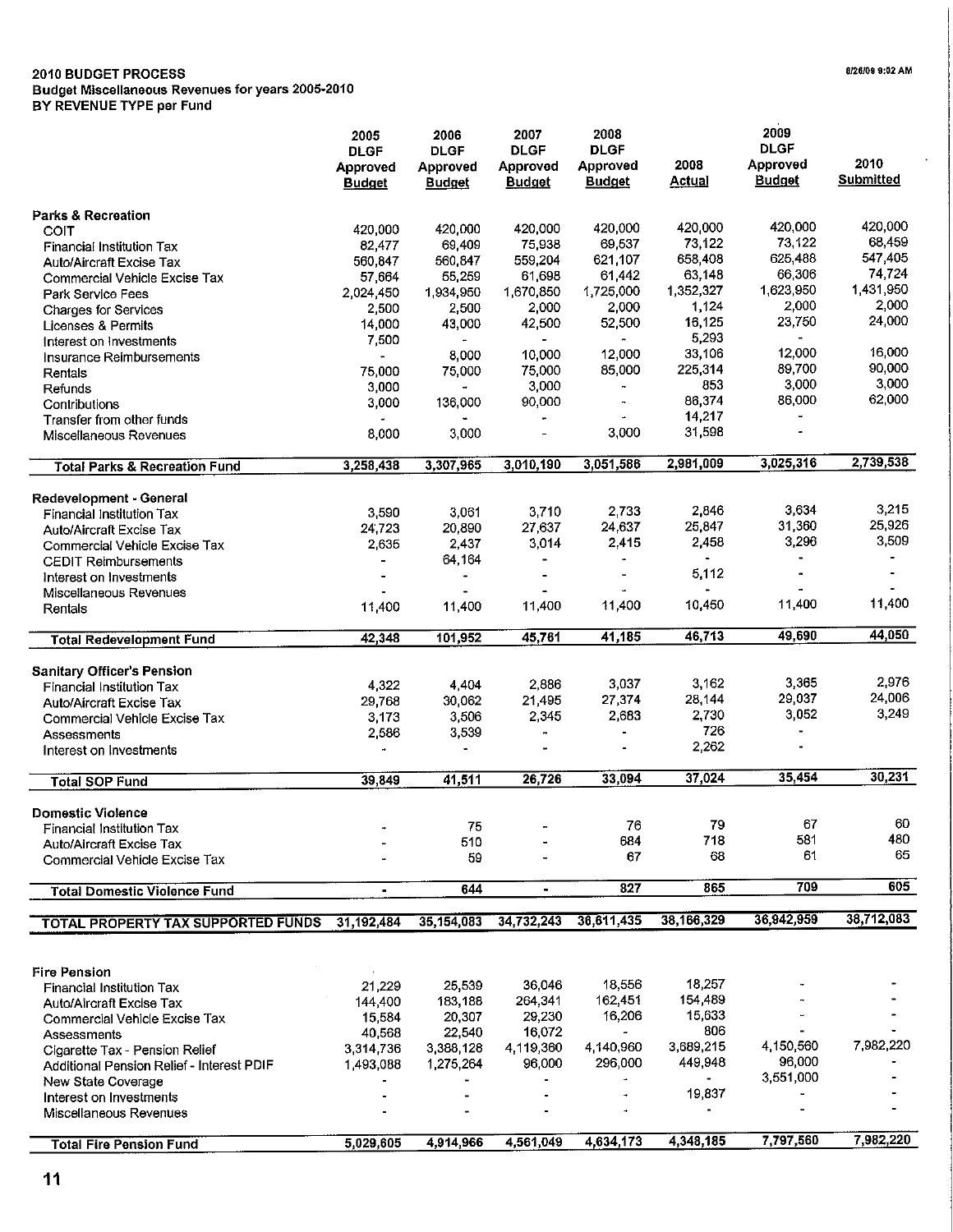#### **2010 BUDGET PROCESS**

**Budget Miscellaneous Revenues for years 2005-2010**

**BY REVENUE TYPE per Fund**

|                                           | 2005                                     | 2006                                     | 2007                                     | 2008                                            |                       | 2009                                     |                          |
|-------------------------------------------|------------------------------------------|------------------------------------------|------------------------------------------|-------------------------------------------------|-----------------------|------------------------------------------|--------------------------|
|                                           | <b>DLGF</b><br>Approved<br><b>Budget</b> | <b>DLGF</b><br>Approved<br><b>Budget</b> | <b>DLGF</b><br>Approved<br><b>Budget</b> | <b>DLGF</b><br><b>Approved</b><br><b>Budget</b> | 2008<br><b>Actual</b> | <b>DLGF</b><br>Approved<br><b>Budget</b> | 2010<br><b>Submitted</b> |
| <b>Parks &amp; Recreation</b>             |                                          |                                          |                                          |                                                 |                       |                                          |                          |
| COIT                                      | 420,000                                  | 420,000                                  | 420,000                                  | 420,000                                         | 420,000               | 420,000                                  | 420,000                  |
| Financial Institution Tax                 | 82,477                                   | 69,409                                   | 75,938                                   | 69,537                                          | 73,122                | 73,122                                   | 68,459                   |
| <b>Auto/Aircraft Excise Tax</b>           | 560,847                                  | 560,847                                  | 559,204                                  | 621.107                                         | 658,408               | 625,488                                  | 547,405                  |
| Commercial Vehicle Excise Tax             | 57,664                                   | 55,259                                   | 61,698                                   | 61 442                                          | 63,148                | 66,306                                   | 74 724                   |
| Park Service Fees                         | 2,024,450                                | 1,934,950                                | 1,670,850                                | 1,725,000                                       | 1,352,327             | 1,623,950                                | 1,431,950                |
| <b>Charges for Services</b>               | 2,500                                    | 2,500                                    | 2,000                                    | 2,000                                           | 1,124                 | 2,000                                    | 2,000                    |
| <b>Licenses &amp; Permits</b>             | 14,000                                   | 43,000                                   | 42,500                                   | 52,500                                          | 16,125                | 23,750                                   | 24,000                   |
| Interest on Investments                   | 7,500                                    |                                          | $\blacksquare$                           |                                                 | 5,293                 | $\blacksquare$                           |                          |
| Insurance Reimbursements                  | $\overline{\phantom{a}}$                 | 8,000                                    | 10,000                                   | 12,000                                          | 33,106                | 12,000                                   | 16,000                   |
| Rentals                                   | 75,000                                   | 75,000                                   | 75,000                                   | 85,000                                          | 225,314               | 89,700                                   | 90,000                   |
| Refunds                                   | 3,000                                    | ÷                                        | 3,000                                    |                                                 | 853                   | 3,000                                    | 3,000                    |
| Contributions                             | 3,000                                    | 136,000                                  | 90,000                                   | $\overline{\phantom{a}}$                        | 86,374                | 86,000                                   | 62,000                   |
| Transfer from other funds                 |                                          |                                          | $\blacksquare$                           |                                                 | 14,217                |                                          |                          |
| Miscellaneous Revenues                    | 8,000                                    | 3,000                                    |                                          | 3,000                                           | 31,598                |                                          |                          |
| <b>Total Parks &amp; Recreation Fund</b>  | 3,258,438                                | 3,307,965                                | 3,010,190                                | 3,051,586                                       | 2,981,009             | 3,025,316                                | 2,739,538                |
| Redevelopment - General                   |                                          |                                          |                                          |                                                 |                       |                                          |                          |
| <b>Financial Institution Tax</b>          | 3,590                                    | 3,061                                    | 3,710                                    | 2.733                                           | 2,846                 | 3,634                                    | 3,215                    |
| <b>Auto/Aircraft Excise Tax</b>           | 24.723                                   | 20,890                                   | 27,637                                   | 24,637                                          | 25.847                | 31,360                                   | 25,926                   |
| Commercial Vehicle Excise Tax             | 2,635                                    | 2,437                                    | 3,014                                    | 2.415                                           | 2458                  | 3,296                                    | 3,509                    |
| <b>CEDIT Reimbursements</b>               | ÷                                        | 64,164                                   | $\blacksquare$                           | ù.                                              | $\blacksquare$        | $\blacksquare$                           |                          |
| Interest on Investments                   |                                          | $\overline{\phantom{0}}$                 | $\blacksquare$                           |                                                 | 5,112                 | $\blacksquare$                           |                          |
| Miscellaneous Revenues                    |                                          |                                          |                                          |                                                 |                       |                                          |                          |
| Rentals                                   | 11,400                                   | 11,400                                   | 11,400                                   | 11,400                                          | 10,450                | 11,400                                   | 11,400                   |
| <b>Total Redevelopment Fund</b>           | 42,348                                   | 101,952                                  | 45,761                                   | 41,185                                          | 46,713                | 49,690                                   | 44,050                   |
| <b>Sanitary Officer's Pension</b>         |                                          |                                          |                                          |                                                 |                       |                                          |                          |
| <b>Financial Institution Tax</b>          | 4,322                                    | 4,404                                    | 2,886                                    | 3,037                                           | 3,162                 | 3,365                                    | 2,976                    |
| <b>Auto/Aircraft Excise Tax</b>           | 29,768                                   | 30,062                                   | 21,495                                   | 27,374                                          | 28,144                | 29,037                                   | 24,006                   |
| Commercial Vehicle Excise Tax             | 3,173                                    | 3,506                                    | 2,345                                    | 2,683                                           | 2,730                 | 3,052                                    | 3,249                    |
| Assessments                               | 2,586                                    | 3,539                                    | $\rightarrow$                            |                                                 | 726                   |                                          |                          |
| Interest on Investments                   |                                          |                                          |                                          |                                                 | 2,262                 |                                          |                          |
| <b>Total SOP Fund</b>                     | 39.849                                   | 41,511                                   | 26,726                                   | 33,094                                          | 37,024                | 35,454                                   | 30,231                   |
| <b>Domestic Violence</b>                  |                                          |                                          |                                          |                                                 |                       |                                          |                          |
| <b>Financial Institution Tax</b>          |                                          | 75                                       |                                          | 76                                              | 79                    | 67                                       | 60                       |
| <b>Auto/Aircraft Excise Tax</b>           |                                          | 510                                      |                                          | 684                                             | 718                   | 581                                      | 480                      |
| Commercial Vehicle Excise Tax             |                                          | 59                                       |                                          | 67                                              | 68                    | 61                                       | 65                       |
| <b>Total Domestic Violence Fund</b>       | ٠                                        | 644                                      | $\blacksquare$                           | 827                                             | 865                   | 709                                      | 605                      |
| <b>TOTAL PROPERTY TAX SUPPORTED FUNDS</b> | 31, 192, 484                             | 35,154,083                               | 34,732,243                               | 36,611,435                                      | 38,166,329            | 36,942,959                               | 38,712,083               |
|                                           |                                          |                                          |                                          |                                                 |                       |                                          |                          |
| <b>Fire Pension</b>                       |                                          |                                          |                                          |                                                 |                       |                                          |                          |
| Financial Institution Tax                 | 21,229                                   | 25,539                                   | 36,046                                   | 18,556                                          | 18,257                |                                          |                          |
| Auto/Aircraft Excise Tax                  | 144,400                                  | 183,188                                  | 264,341                                  | 162,451                                         | 154,489               |                                          |                          |
| Commercial Vehicle Excise Tax             | 15,584                                   | 20,307                                   | 29,230                                   | 16,206                                          | 15,633                |                                          |                          |
| Assessments                               | 40,568                                   | 22,540                                   | 16,072                                   |                                                 | 806                   |                                          |                          |
| Cigarette Tax - Pension Relief            | 3,314,736                                | 3,388,128                                | 4,119,360                                | 4,140,960                                       | 3,689,215             | 4 150,560                                | 7,982,220                |
| Additional Pension Relief - Interest PDIF | 1,493,088                                | 1,275,264                                | 96,000                                   | 296,000                                         | 449,948               | 96,000                                   |                          |
| New State Coverage                        |                                          |                                          |                                          |                                                 |                       | 3,551,000                                |                          |
| Interest on Investments                   |                                          |                                          |                                          |                                                 | 19,837                |                                          |                          |
| Miscellaneous Revenues                    |                                          |                                          |                                          |                                                 |                       |                                          |                          |
| <b>Total Fire Pension Fund</b>            | 5,029,605                                | 4,914,966                                | 4,561,049                                | 4,634,173                                       | 4,348,185             | 7,797,560                                | 7,982,220                |

**8/26/09 9:02 AM**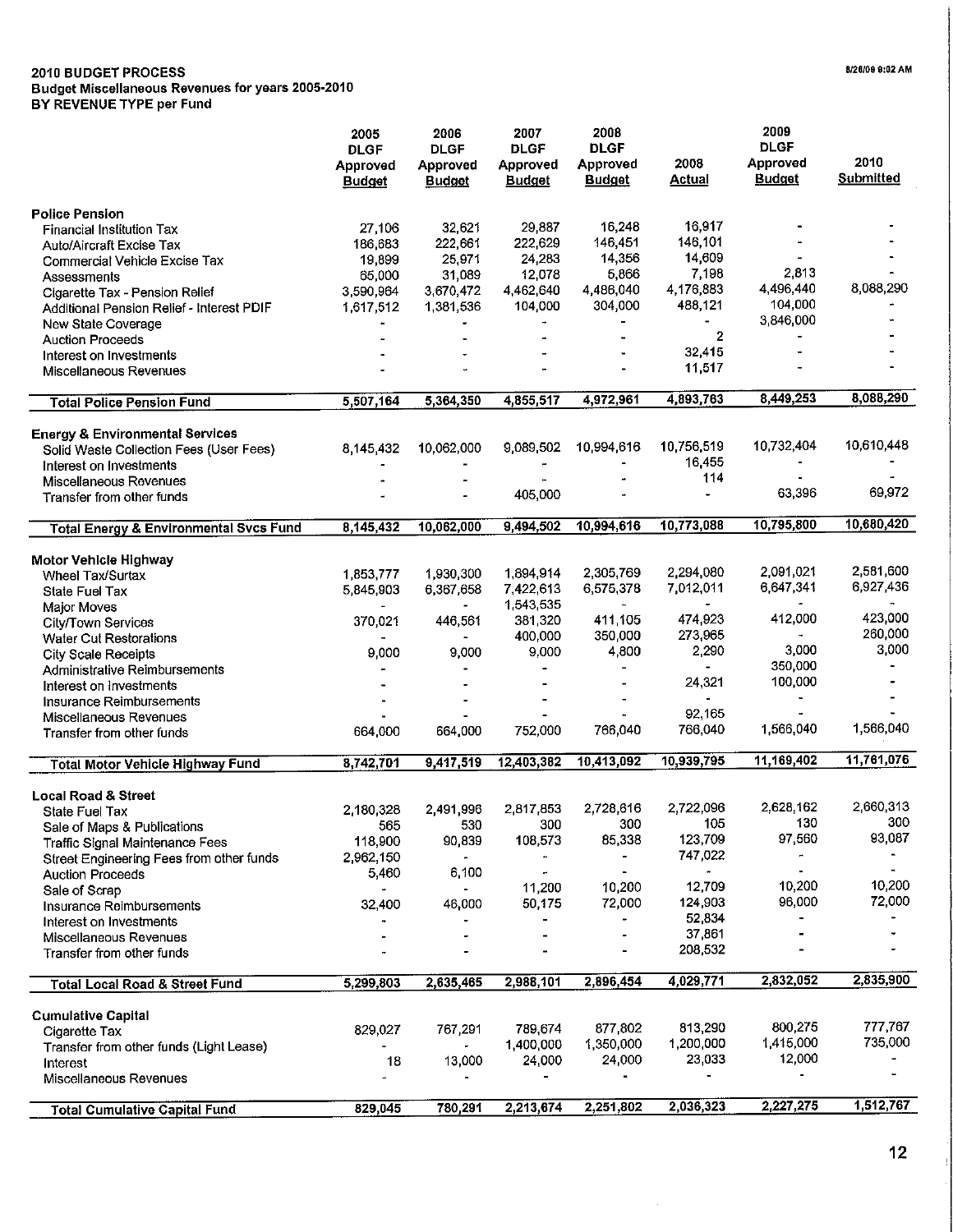### **2010 BUDGET PROCESS**

**Budget Miscellaneous Revenues for years 2005-2010**

**BY REVENUE TYPE per Fund**

|                                                    | 2005<br><b>DLGF</b><br>Approved<br><b>Budget</b> | 2006<br><b>DLGF</b><br>Approved<br><b>Budget</b> | 2007<br><b>DLGF</b><br>Approved<br><b>Budget</b> | 2008<br><b>DLGF</b><br>Approved<br><b>Budget</b> | 2008<br><b>Actual</b>  | 2009<br><b>DLGF</b><br>Approved<br><b>Budget</b> | 2010<br><b>Submitted</b> |
|----------------------------------------------------|--------------------------------------------------|--------------------------------------------------|--------------------------------------------------|--------------------------------------------------|------------------------|--------------------------------------------------|--------------------------|
| <b>Police Pension</b>                              |                                                  |                                                  |                                                  |                                                  |                        |                                                  |                          |
| Financial Institution Tax                          | 27,106                                           | 32,621                                           | 29,887                                           | 16,248                                           | 16,917                 |                                                  |                          |
| <b>Auto/Aircraft Excise Tax</b>                    | 186,683                                          | 222,661                                          | 222,629                                          | 146,451                                          | 146,101                |                                                  |                          |
| <b>Commercial Vehicle Excise Tax</b>               | 19,899                                           | 25,971                                           | 24,283                                           | 14,356                                           | 14,609                 |                                                  |                          |
| Assessments                                        | 65,000                                           | 31,089                                           | 12,078                                           | 5,866                                            | 7.198                  | 2,813                                            |                          |
| Cigarette Tax - Pension Relief                     | 3,590,964                                        | 3,670,472                                        | 4,462,640                                        | 4,486,040                                        | 4,176,883              | 4,496,440<br>104,000                             | 8,088,290                |
| Additional Pension Relief - Interest PDIF          | 1,617,512                                        | 1,381,536                                        | 104,000                                          | 304,000                                          | 488,121                | 3,846,000                                        |                          |
| <b>New State Coverage</b>                          |                                                  |                                                  |                                                  |                                                  | 2                      |                                                  |                          |
| <b>Auction Proceeds</b><br>Interest on Investments |                                                  |                                                  |                                                  |                                                  | 32,415                 |                                                  |                          |
| Miscellaneous Revenues                             |                                                  |                                                  |                                                  |                                                  | 11,517                 |                                                  |                          |
|                                                    |                                                  |                                                  |                                                  |                                                  |                        |                                                  |                          |
| <b>Total Police Pension Fund</b>                   | 5.507,164                                        | 5,364,350                                        | 4,855,517                                        | 4,972,961                                        | 4,893,763              | 8,449,253                                        | 8,088,290                |
| <b>Energy &amp; Environmental Services</b>         |                                                  |                                                  |                                                  |                                                  |                        |                                                  |                          |
| Solid Waste Collection Fees (User Fees)            | 8,145,432                                        | 10,062,000                                       | 9,089,502                                        | 10,994,616                                       | 10,756,519             | 10,732,404                                       | 10,610,448               |
| Interest on Investments                            |                                                  |                                                  | $\ddot{\phantom{1}}$                             |                                                  | 16,455                 |                                                  |                          |
| Miscellaneous Revenues                             |                                                  |                                                  |                                                  |                                                  | 114                    |                                                  |                          |
| Transfer from other funds                          |                                                  |                                                  | 405,000                                          |                                                  | $\overline{a}$         | 63,396                                           | 69,972                   |
| <b>Total Energy &amp; Environmental Svcs Fund</b>  | 8,145,432                                        | 10,062,000                                       | 9,494,502                                        | 10,994.616                                       | 10,773.088             | 10,795,800                                       | 10,680,420               |
|                                                    |                                                  |                                                  |                                                  |                                                  |                        |                                                  |                          |
| Motor Vehicle Highway                              |                                                  |                                                  |                                                  |                                                  |                        | 2,091,021                                        | 2,581,600                |
| <b>Wheel Tax/Surtax</b>                            | 1,853,777                                        | 1,930,300                                        | 1,894,914<br>7,422,613                           | 2,305,769<br>6,575,378                           | 2,294,080<br>7,012,011 | 6,647,341                                        | 6,927,436                |
| State Fuel Tax                                     | 5,845,903                                        | 6,367,658                                        | 1,543,535                                        | $\blacksquare$                                   |                        |                                                  |                          |
| Major Moves<br>City/Town Services                  | 370,021                                          | 446,561                                          | 381,320                                          | 411 105                                          | 474,923                | 412,000                                          | 423,000                  |
| <b>Water Cut Restorations</b>                      |                                                  |                                                  | 400,000                                          | 350,000                                          | 273,965                |                                                  | 260,000                  |
| <b>City Scale Receipts</b>                         | 9,000                                            | 9,000                                            | 9,000                                            | 4,800                                            | 2.290                  | 3,000                                            | 3,000                    |
| Administrative Reimbursements                      |                                                  |                                                  | $\blacksquare$                                   |                                                  | $\blacksquare$         | 350,000                                          |                          |
| Interest on Investments                            |                                                  |                                                  |                                                  |                                                  | 24,321                 | 100,000                                          |                          |
| Insurance Reimbursements                           |                                                  |                                                  |                                                  |                                                  | $\blacksquare$         | $\blacksquare$                                   |                          |
| Miscellaneous Revenues                             |                                                  |                                                  |                                                  |                                                  | 92,165                 |                                                  |                          |
| Transfer from other funds                          | 664,000                                          | 664,000                                          | 752,000                                          | 766,040                                          | 766,040                | 1,566,040                                        | 1,566,040                |
| <b>Total Motor Vehicle Highway Fund</b>            | 8,742,701                                        | 9,417,519                                        | 12,403,382                                       | 10,413,092                                       | 10,939,795             | 11,169,402                                       | 11,761,076               |
|                                                    |                                                  |                                                  |                                                  |                                                  |                        |                                                  |                          |
| <b>Local Road &amp; Street</b>                     | 2,180,328                                        | 2,491,996                                        | 2,817,853                                        | 2,728,616                                        | 2,722,096              | 2,628,162                                        | 2,660,313                |
| State Fuel Tax<br>Sale of Maps & Publications      | 565                                              | 530                                              | 300                                              | 300                                              | 105                    | 130                                              | 300                      |
| <b>Traffic Signal Maintenance Fees</b>             | 118,900                                          | 90,839                                           | 108,573                                          | 85,338                                           | 123,709                | 97,560                                           | 93,087                   |
| Street Engineering Fees from other funds           | 2,962,150                                        |                                                  |                                                  |                                                  | 747,022                |                                                  |                          |
| <b>Auction Proceeds</b>                            | 5,460                                            | 6,100                                            | $\rightarrow$                                    | $\blacksquare$                                   |                        |                                                  | $\mathbf{u}$ .           |
| Sale of Scrap                                      | $\overline{\phantom{a}}$                         |                                                  | 11,200                                           | 10,200                                           | 12,709                 | 10,200                                           | 10,200                   |
| Insurance Reimbursements                           | 32,400                                           | 46,000                                           | 50,175                                           | 72,000                                           | 124,903                | 96,000                                           | 72,000                   |
| Interest on Investments                            |                                                  |                                                  |                                                  | $\blacksquare$                                   | 52.834                 |                                                  |                          |
| Miscellaneous Revenues                             |                                                  |                                                  |                                                  |                                                  | 37,861                 |                                                  |                          |
| Transfer from other funds                          |                                                  |                                                  |                                                  |                                                  | 208,532                |                                                  |                          |
| <b>Total Local Road &amp; Street Fund</b>          | 5,299,803                                        | 2,635,465                                        | 2,988,101                                        | 2,896,454                                        | 4,029,771              | 2,832,052                                        | 2,835,900                |
| <b>Cumulative Capital</b>                          |                                                  |                                                  |                                                  |                                                  |                        |                                                  |                          |
| Cigarette Tax                                      | 829,027                                          | 767,291                                          | 789,674                                          | 877.802                                          | 813,290                | 800,275                                          | 777,767                  |
| Transfer from other funds (Light Lease)            |                                                  |                                                  | 1,400,000                                        | 1,350,000                                        | 1,200,000              | 1,415,000                                        | 735,000                  |
| Interest                                           | 18                                               | 13,000                                           | 24,000                                           | 24,000                                           | 23.033                 | 12,000                                           |                          |
| Miscellaneous Revenues                             |                                                  |                                                  |                                                  |                                                  |                        |                                                  |                          |
| <b>Total Cumulative Capital Fund</b>               | 829,045                                          | 780,291                                          | 2,213,674                                        | 2,251,802                                        | 2,036,323              | 2,227,275                                        | 1,512,767                |

8/26/09 9:02 AM

 $\hat{\mathcal{A}}$ 

 $\bar{1}$